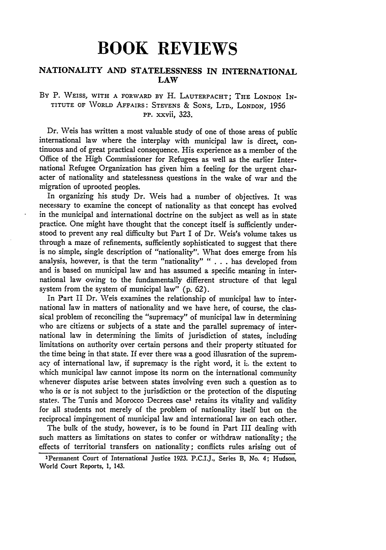# **BOOK REVIEWS**

# **NATIONALITY AND STATELESSNESS IN INTERNATIONAL LAW**

## **By** P. **WEISS,** WITH A FORWARD BY H. **LAUTERPACHT;** THE LONDON IN-**TITUTE** OF WORLD AFFAIRS: STEVENS **&** SONS, LTD., LONDON, **1956 Pp.** xxvii, 323.

Dr. Weis has written a most valuable study of one of those areas of public international law where the interplay with municipal law is direct, continuous and of great practical consequence. His experience as a member of the Office of the High Commissioner for Refugees as well as the earlier International Refugee Organization has given him a feeling for the urgent character of nationality and statelessness questions in the wake of war and the migration of uprooted peoples.

In organizing his study Dr. Weis had a number of objectives. It was necessary to examine the concept of nationality as that concept has evolved in the municipal and international doctrine on the subject as well as in state practice. One might have thought that the concept itself is sufficiently understood to prevent any real difficulty but Part I of Dr. Weis's volume takes us through a maze of refinements, sufficiently sophisticated to suggest that there is no simple, single description of "nationality". What does emerge from his analysis, however, is that the term "nationality" " . . . has developed from and is based on municipal law and has assumed a specific meaning in international law owing to the fundamentally different structure of that legal system from the system of municipal law" (p. 62).

In Part II Dr. Weis examines the relationship of municipal law to international law in matters of nationality and we have here, of course, the classical problem of reconciling the "supremacy" of municipal law in determining who are citizens or subjects of a state and the parallel supremacy of international law in determining the limits of jurisdiction of states, including limitations on authority over certain persons and their property stituated for the time being in that state. If ever there was a good illusration of the supremacy of international law, if supremacy is the right word, it i:. the extent to which municipal law cannot impose its norm on the international community whenever disputes arise between states involving even such a question as to who is or is not subject to the jurisdiction or the protection of the disputing states. The Tunis and Morocco Decrees case' retains its vitality and validity for all students not merely of the problem of nationality itself but on the reciprocal impingement of municipal law and international law on each other.

The bulk of the study, however, is to be found in Part III dealing with such matters as limitations on states to confer or withdraw nationality; the effects of territorial transfers on nationality; conflicts rules arising out of

<sup>&#</sup>x27;Permanent Court of International Justice **1923.** P.C.I.J., Series B, No. 4; Hudson, World Court Reports, 1, 143.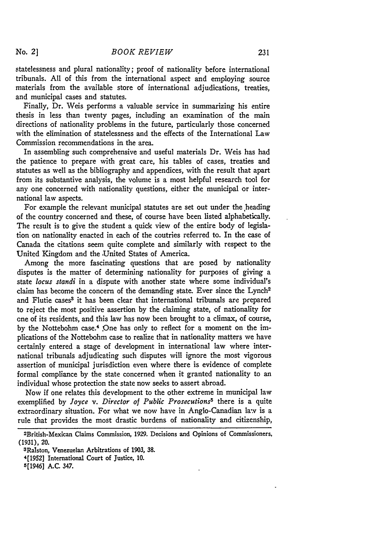statelessness and plural nationality; proof of nationality before international tribunals. All of this from the international aspect and employing source materials from the available store of international adjudications, treaties, and municipal cases and statutes.

Finally, Dr. Weis performs a valuable service in summarizing his entire thesis in less than twenty pages, including an examination of the main directions of nationality problems in the future, particularly those concerned with the elimination of statelessness and the effects of the International Law Commission recommendations in the area.

In assembling such comprehensive and useful materials Dr. Weis has had the patience to prepare with great care, his tables of cases, treaties and statutes as well as the bibliography and appendices, with the result that apart from its substantive analysis, the volume is a most helpful research tool for any one concerned with nationality questions, either the municipal or international law aspects.

For example the relevant municipal statutes are set out under the heading of the country concerned and these, of course have been listed alphabetically. The result is to give the student a quick view of the entire body of legislation on nationality enacted in each of the coutries referred to. In the case of Canada the citations seem quite complete and similarly with respect to the United Kingdom and the United States of America.

Among the more fascinating questions that are posed by nationality disputes is the matter of determining nationality for purposes of giving a state *locus standi* in a dispute with another state where some individual's claim has become the concern of the demanding state. Ever since the Lynch<sup>2</sup> and Flutie cases<sup>3</sup> it has been clear that international tribunals are prepared to reject the most positive assertion by the claiming state, of nationality for one of its residents, and this law has now been brought to a climax, of course, by the Nottebohm case.<sup>4</sup> One has only to reflect for a moment on the implications of the Nottebohm case to realize that in nationality matters we have certainly entered a stage of development in international law where international tribunals adjudicating such disputes will ignore the most vigorous assertion of municipal jurisdiction even where there is evidence of complete formal compliance by the state concerned when it granted nationality to an individual whose protection the state now seeks to assert abroad.

Now if one relates this development to the other extreme in municipal law exemplified **by** *Joyce v. Director of Public Prosecutions5* there is a quite extraordinary situation. For what we now have in Anglo-Canadian law is a rule that provides the most drastic burdens of nationality and citizenship,

<sup>2</sup>British-Mexican Claims Commission, **1929.** Decisions and Opinions of Commissioners, (1931), 20.

<sup>3</sup>Ralston, Venezuelan Arbitrations of **1903, 38.**

<sup>4[1952]</sup> International Court of Justice, **10.**

<sup>5[1946]</sup> A.C. 347.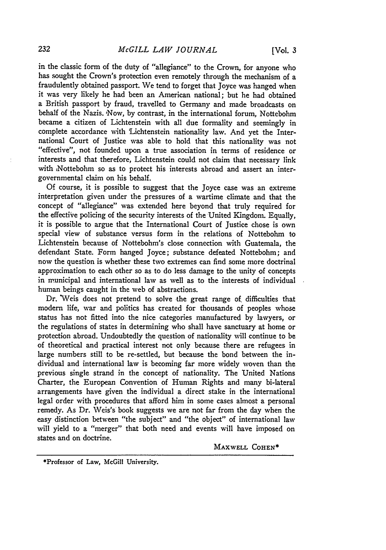in the classic form of the duty of "allegiance" to the Crown, for anyone who has sought the Crown's protection even remotely through the mechanism of a fraudulently obtained passport. We tend to forget that Joyce was hanged when it was very likely he had been an American national; but he had obtained a British passport by fraud, travelled to Germany and made broadcasts on behalf of the Nazis. Now, by contrast, in the international forum, Nottebohm became a citizen of Lichtenstein with all due formality and seemingly in complete accordance with Lichtenstein nationality law. And yet the International Court of Justice was able to hold that this nationality was not "effective", not founded upon a true association in terms of residence or interests and that therefore, Lichtenstein could not claim that necessary link with ,Nottebohm so as to protect his interests abroad and assert an intergovernmental claim on his behalf.

Of course, it is possible to suggest that the Joyce case was an extreme interpretation given under the pressures of a wartime climate and that the concept of "allegiance" was extended here beyond that truly required for the effective policing of the security interests of the United Kingdom. Equally, it is possible to argue that the International Court of Justice chose is own special view of substance versus form in the relations of Nottebohm to Lichtenstein because of Nottebohm's close connection with Guatemala, the defendant State. Form hanged Joyce; substance defeated Nottebohm; and now the question is whether these two extremes can find some more doctrinal approximation to each other so as to do less damage to the unity of concepts in municipal and international law as well as to the interests of individual human beings caught in the web of abstractions.

Dr. "Weis does not pretend to solve the great range of. difficulties that modem life, war and politics has created for thousands of peoples whose status has not fitted into the nice categories manufactured by lawyers, or the regulations of states in determining who shall have sanctuary at home or protection abroad. Undoubtedly the question of nationality will continue to be of theoretical and practical interest not only because there are refugees in large numbers still to be re-settled, but because the bond between the individual and international law is becoming far more widely woven than the previous single strand in the concept of nationality. The United Nations Charter, the European Convention of Human Rights and many bi-lateral arrangements have given the individual a direct stake in the international legal order with procedures that afford him in some cases almost a personal remedy. As Dr. Weis's book suggests we are not far from the day when the easy distinction between "the subject" and "the object" of international law will yield to a "merger" that both need and events will have imposed on states and on doctrine.

MAXWELL COHEN\*

\*Professor of Law, McGill University.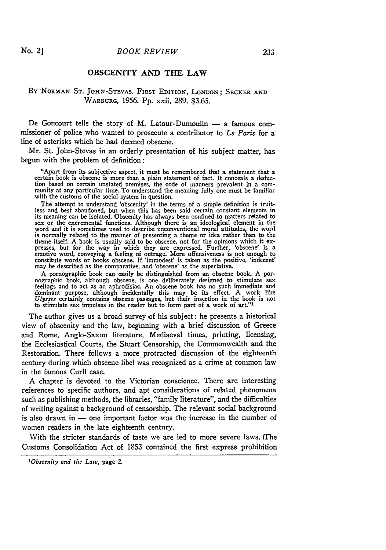### **OBSCENITY AND THE LAW**

### **BY NORMAN ST. JOHN-STEVAS. FIRST EDITION, LONDON;** SECKER **AND** WARBURG, 1956. **Pp.** xxii, 289. \$3.65.

De Goncourt tells the story of M. Latour-Dumoulin  $-$  a famous commissioner of police who wanted to prosecute a contributor to *Le Paris* for a line of asterisks which he had deemed obscene.

Mr. St. John-Stevas in an orderly presentation of his subject matter, has begun with the problem of definition:

"Apart from its subjective aspect, **it** must be remembered that a statement that a certain book is obscene is more than a plain statement of fact. It conceals a deduction based on certain unstated premises, the code of manners prevalent in a com- munity at any particular time. To understand the meaning fully one must be familiar with the customs of the social system in question.

The attempt to understand 'obscenity' in the terms of a simple definition is fruitless and best abandoned, but when this has been said certain constant elements in its meaning can be isolated. Obscenity has always been confined to matters related to sex or the excremental functions. Although there is an ideological element in the word and it is sometimes used to describe unconventional moral attitudes, the word is normally related to the manner of presenting a theme or idea rather than to the theme itself. A book is usually said to be obscene, not for the opinions which it extheme itself. A book is usually said to be obscene, not for the opinions which it ex- presses, but for the way in which they are expressed. Further, 'obscene' is a emotive word, conveying a feeling of outrage. Mere offensiveness is not enough to constitute words or books obscene. If 'immodest' is taken as the positive, 'indecent' may be described as the comparative, and 'obscene' as the superlative.

A pornographic book can easily be distinguished from an obscene book. A pornographic book, although obscene, is one deliberately designed to stimulate sex feelings and to act as an aphrodisiac. An obscene book has no such immediate and dominant purpose, although incidentally this may be its effect. A work like Ulysses certainly contains obscene passages, but their insertion in the book is not to stimulate sex impulses in the reader but to form part of a

The author gives us a broad survey of his subject: he presents a historical view of obscenity and the law, beginning with a brief discussion of Greece and Rome, Anglo-Saxon literature, Mediaeval times, printing, licensing, the Ecclesiastical Courts, the Stuart Censorship, the Commonwealth and the Restoration. There follows a more protracted discussion of the eighteenth century during which obscene libel was recognized as a crime at common law in the famous Curll case.

A chapter is devoted to the Victorian conscience. There are interesting references to specific authors, and apt considerations of related phenomena such as publishing methods, the libraries, "family literature", and the difficulties of writing against a background of censorship. The relevant social background is also drawn in  $-$  one important factor was the increase in the number of women readers in the late eighteenth century.

With the stricter standards of taste we are led to more severe laws. (The Customs Consolidation Act of 1853 contained the first express prohibition

*1Obscenity and* the *Law,* page 2.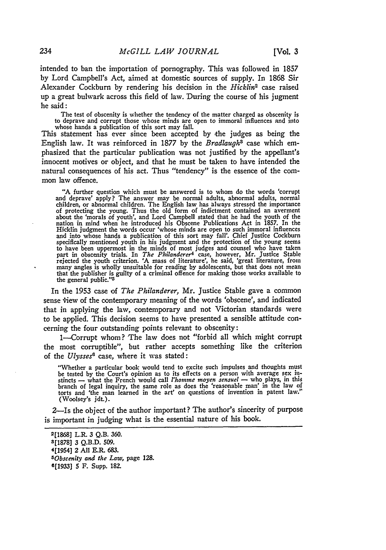intended to ban the importation of pornography. This was followed in 1857 **by** Lord Campbell's Act, aimed at domestic sources of supply. In **1868** Sir Alexander Cockburn **by** rendering his decision in the *Hicklin2* case raised up a great bulwark across this field of law. During the course of his jugment he said:

The test of obscenity is whether the tendency of the matter charged as obscenity is to deprave and corrupt those whose minds are open to immoral influences and into whose hands a publication of this sort may fall.

This statement has ever since been accepted **by** the judges as being the English law. It was reinforced in **1877 by** the *Bradlaugh3* case which emphasized that the particular publication was not justified **by** the appellant's innocent motives or object, and that he must be taken to have intended the natural consequences of his act. Thus "tendency" is the essence of the common law offence.

**"A** further question which must be answered is to whom do the words 'corrupt and deprave' apply? The answer may be normal adults, abnormal adults, normal children, or abnormal children. The English law has always stressed the importance of protecting the young. Thus the old form of indictment contained an averment about the 'morals of youth', and Lord Campbell stated that he **had** the youth of the nation in mind when he introduced his Obscene Publications Act in **1857.** In the Hicklin judgment the words occur 'whose minds are open to such immoral influences and into whose hands a publication of this sort may fall'. Chief Justice Cockburn specifically mentioned youth in his judgment and the protection of the young seems to have been uppermost in the minds of most judges and counsel who have taken part in obscenity trials. In *The Philanderer4* case, however, Mr. Justice Stable rejected the youth criterion. **'A** mass of literature', he said, 'great literature, from many angles is wholly unsuitable for reading **by** adolescents, but that does not mean that the publisher is guilty of a criminal offence for making those works available to<br>the general public."<sup>5</sup>

In the **1953** case of *The Philanderer,* Mr. Justice Stable gave a common sense view of the contemporary meaning of the words 'obscene', and indicated that in applying the law, contemporary and not Victorian standards were to be applied. This decision seems to have presented a sensible attitude concerning the four outstanding points relevant to obscenity:

1--Corrupt whom? The law does not "forbid all which might corrupt the most corruptible", but rather accepts something like the criterion of the *Ulysses6* case, where it was stated:

"Whether a particular book would tend to excite such impulses and thoughts must be tested by the Court's opinion as to its effects on a person with average sex in-<br>stincts — what the French would call *l'homme moyen sensuel* — who plays, in this branch of legal inquiry, the same role as does the 'reasonable man' in the law of torts and 'the man learned in the art' on questions of invention in patent law." (Woolsey's jdt.).

2-Is the object of the author important? The author's sincerity of purpose is important in judging what is the essential nature of his book.

**2[1868]** L.R. **3 Q.B. 360. 3[1878] 3 Q.B.D. 509.** 4[1954] 2 **All E.R. 683.** *50bscenlty and the Law,* page **128. 6[1933] 5** F. Supp. **182.**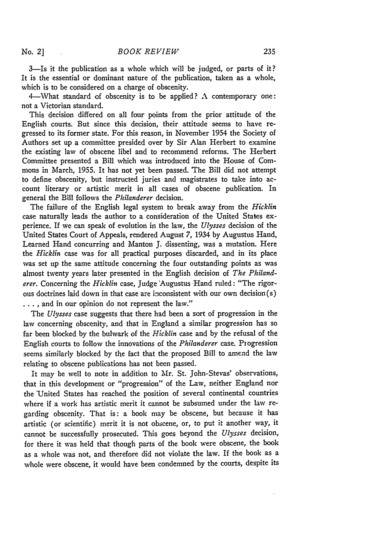3-Is it the publication as a whole which will be judged, or parts of it? It is the essential or dominant nature of the publication, taken as a whole, which is to be considered on a charge of obscenity.

4-What standard of obscenity is to be applied? **A** contemporary one: not a Victorian standard.

This decision differed on all four points from the prior attitude of the English courts. But since this decision, their attitude seems to have regressed to its former state. For this reason, in November 1954 the Society of Authors set up a committee presided over **by** Sir Alan Herbert to examine the existing law of obscene libel and to recommend reforms. The Herbert Committee presented a Bill which was introduced into the House of Commons in March, **1955.** It has not yet been passed. The Bill did not attempt to define obscenity, but instructed juries and magistrates to take into account literary or artistic merit **in** all cases of obscene publication. In general the Bill follows the *Philanderer* decision.

The failure of the English legal system to break away from the *Hicklin* case naturally leads the author to a consideration of the United States experience. If we can speak of evolution in the law, the *Ulysses* decision of the United States Court of Appeals, rendered August 7, 1934 by Augustus Hand, Learned Hand concurring and Manton J. dissenting, was a mutation. Here the *Hicklin* case was for all practical purposes discarded, and in its place was set up the same attitude concerning the four outstanding points as was almost twenty years later presented in the English decision of *The Philanderer.* Concerning the *Hicklin* case, Judge "Augustus Hand ruled: "The rigorous doctrines laid down in that case are inconsistent with our own decision(s) ... **,** and in our opinion do not represent the law."

The *Ulysses* case suggests that there had been a sort of progression in the law concerning obscenity, and that in England a similar progression has so far been blocked by the bulwark of the *Hicklin* case and by the refusal of the English courts to follow the innovations of the *Philanderer* case. Progression seems similarly blocked by the fact that the proposed Bill to amend the law relating to obscene publications has not been passed.

It may be well to note in addition to Mr. St. John-Stevas' observations, that in this development or "progression" of the Law, neither England nor the United States has reached the position of several continental countries where if a work has artistic merit it cannot be subsumed under the law regarding obscenity. That is: a book may be obscene, but because it has artistic (or scientific) merit it is not obscene, or, to put it another way, it cannot be successfully prosecuted. This goes beyond the *Ulysses* decision, for there it was held that though parts of the book were obscene, the book as a whole was not, and therefore did not violate the law. If the book as a whole were obscene, it would have been condemned by the courts, despite its